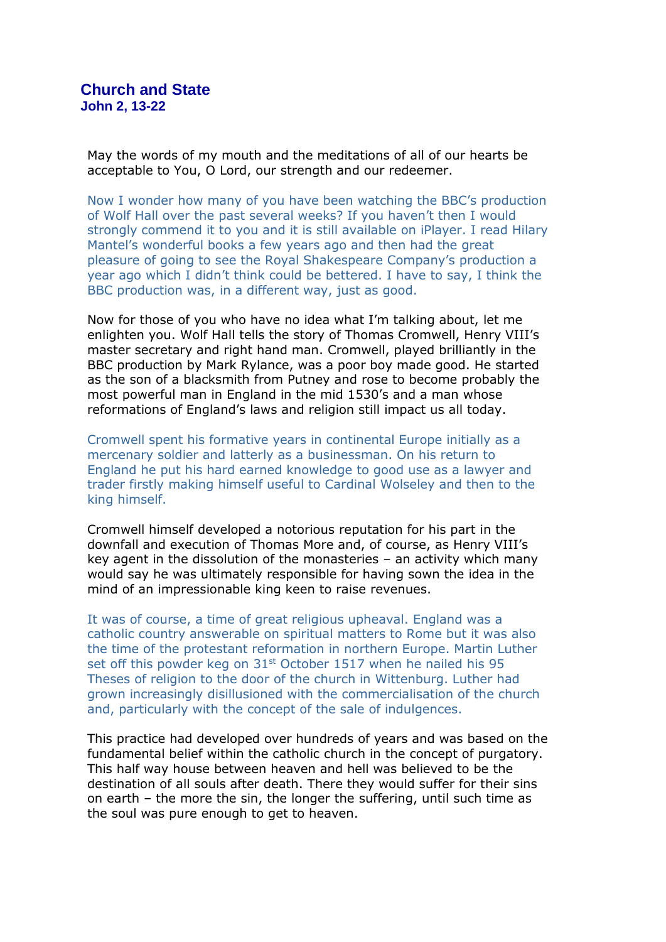May the words of my mouth and the meditations of all of our hearts be acceptable to You, O Lord, our strength and our redeemer.

Now I wonder how many of you have been watching the BBC's production of Wolf Hall over the past several weeks? If you haven't then I would strongly commend it to you and it is still available on iPlayer. I read Hilary Mantel's wonderful books a few years ago and then had the great pleasure of going to see the Royal Shakespeare Company's production a year ago which I didn't think could be bettered. I have to say, I think the BBC production was, in a different way, just as good.

Now for those of you who have no idea what I'm talking about, let me enlighten you. Wolf Hall tells the story of Thomas Cromwell, Henry VIII's master secretary and right hand man. Cromwell, played brilliantly in the BBC production by Mark Rylance, was a poor boy made good. He started as the son of a blacksmith from Putney and rose to become probably the most powerful man in England in the mid 1530's and a man whose reformations of England's laws and religion still impact us all today.

Cromwell spent his formative years in continental Europe initially as a mercenary soldier and latterly as a businessman. On his return to England he put his hard earned knowledge to good use as a lawyer and trader firstly making himself useful to Cardinal Wolseley and then to the king himself.

Cromwell himself developed a notorious reputation for his part in the downfall and execution of Thomas More and, of course, as Henry VIII's key agent in the dissolution of the monasteries – an activity which many would say he was ultimately responsible for having sown the idea in the mind of an impressionable king keen to raise revenues.

It was of course, a time of great religious upheaval. England was a catholic country answerable on spiritual matters to Rome but it was also the time of the protestant reformation in northern Europe. Martin Luther set off this powder keg on 31<sup>st</sup> October 1517 when he nailed his 95 Theses of religion to the door of the church in Wittenburg. Luther had grown increasingly disillusioned with the commercialisation of the church and, particularly with the concept of the sale of indulgences.

This practice had developed over hundreds of years and was based on the fundamental belief within the catholic church in the concept of purgatory. This half way house between heaven and hell was believed to be the destination of all souls after death. There they would suffer for their sins on earth – the more the sin, the longer the suffering, until such time as the soul was pure enough to get to heaven.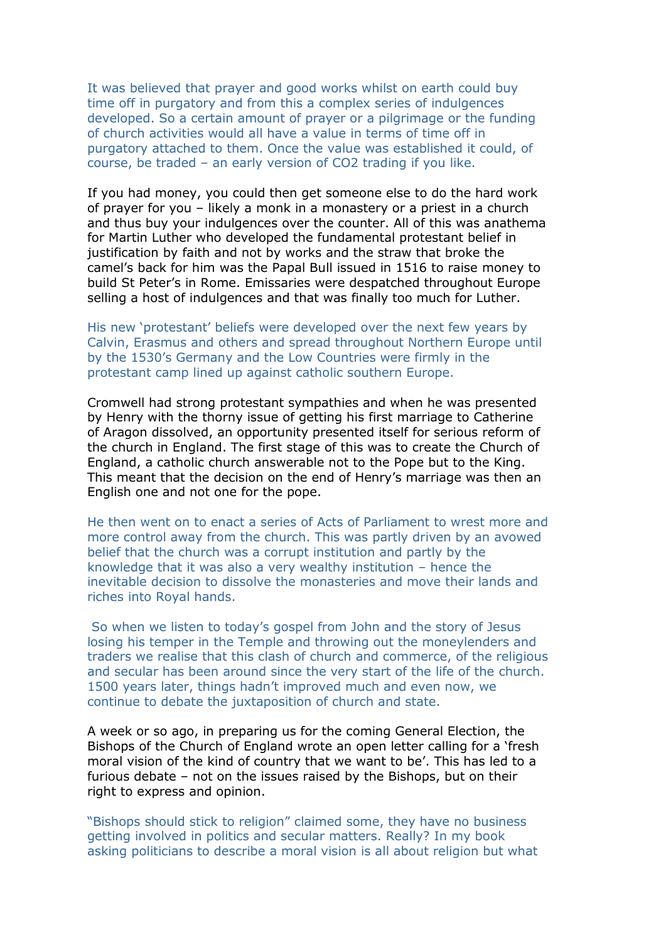It was believed that prayer and good works whilst on earth could buy time off in purgatory and from this a complex series of indulgences developed. So a certain amount of prayer or a pilgrimage or the funding of church activities would all have a value in terms of time off in purgatory attached to them. Once the value was established it could, of course, be traded – an early version of CO2 trading if you like.

If you had money, you could then get someone else to do the hard work of prayer for you – likely a monk in a monastery or a priest in a church and thus buy your indulgences over the counter. All of this was anathema for Martin Luther who developed the fundamental protestant belief in justification by faith and not by works and the straw that broke the camel's back for him was the Papal Bull issued in 1516 to raise money to build St Peter's in Rome. Emissaries were despatched throughout Europe selling a host of indulgences and that was finally too much for Luther.

His new 'protestant' beliefs were developed over the next few years by Calvin, Erasmus and others and spread throughout Northern Europe until by the 1530's Germany and the Low Countries were firmly in the protestant camp lined up against catholic southern Europe.

Cromwell had strong protestant sympathies and when he was presented by Henry with the thorny issue of getting his first marriage to Catherine of Aragon dissolved, an opportunity presented itself for serious reform of the church in England. The first stage of this was to create the Church of England, a catholic church answerable not to the Pope but to the King. This meant that the decision on the end of Henry's marriage was then an English one and not one for the pope.

He then went on to enact a series of Acts of Parliament to wrest more and more control away from the church. This was partly driven by an avowed belief that the church was a corrupt institution and partly by the knowledge that it was also a very wealthy institution – hence the inevitable decision to dissolve the monasteries and move their lands and riches into Royal hands.

So when we listen to today's gospel from John and the story of Jesus losing his temper in the Temple and throwing out the moneylenders and traders we realise that this clash of church and commerce, of the religious and secular has been around since the very start of the life of the church. 1500 years later, things hadn't improved much and even now, we continue to debate the juxtaposition of church and state.

A week or so ago, in preparing us for the coming General Election, the Bishops of the Church of England wrote an open letter calling for a 'fresh moral vision of the kind of country that we want to be'. This has led to a furious debate – not on the issues raised by the Bishops, but on their right to express and opinion.

"Bishops should stick to religion" claimed some, they have no business getting involved in politics and secular matters. Really? In my book asking politicians to describe a moral vision is all about religion but what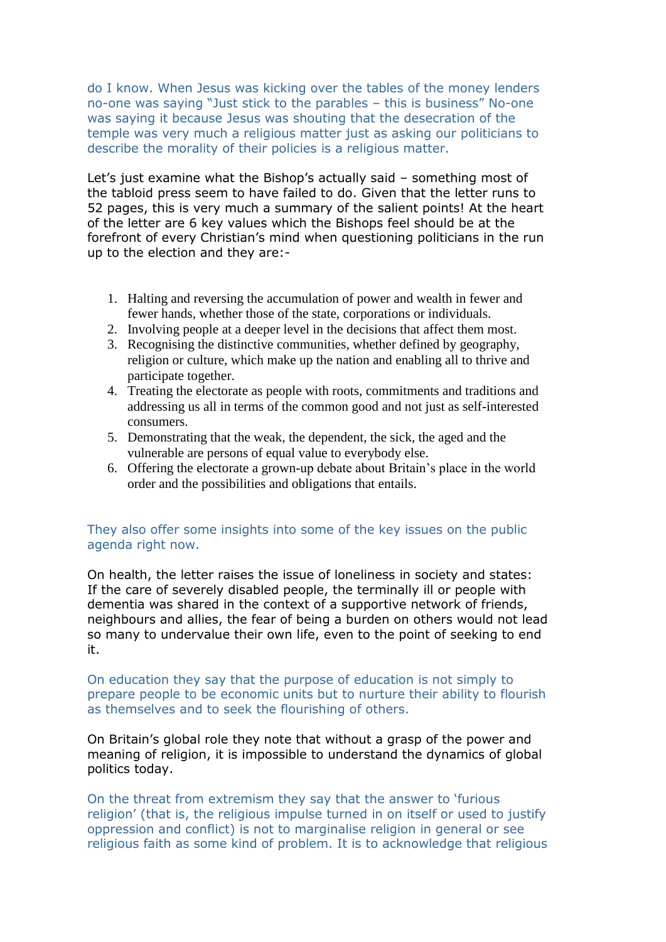do I know. When Jesus was kicking over the tables of the money lenders no-one was saying "Just stick to the parables – this is business" No-one was saying it because Jesus was shouting that the desecration of the temple was very much a religious matter just as asking our politicians to describe the morality of their policies is a religious matter.

Let's just examine what the Bishop's actually said – something most of the tabloid press seem to have failed to do. Given that the letter runs to 52 pages, this is very much a summary of the salient points! At the heart of the letter are 6 key values which the Bishops feel should be at the forefront of every Christian's mind when questioning politicians in the run up to the election and they are:-

- 1. Halting and reversing the accumulation of power and wealth in fewer and fewer hands, whether those of the state, corporations or individuals.
- 2. Involving people at a deeper level in the decisions that affect them most.
- 3. Recognising the distinctive communities, whether defined by geography, religion or culture, which make up the nation and enabling all to thrive and participate together.
- 4. Treating the electorate as people with roots, commitments and traditions and addressing us all in terms of the common good and not just as self-interested consumers.
- 5. Demonstrating that the weak, the dependent, the sick, the aged and the vulnerable are persons of equal value to everybody else.
- 6. Offering the electorate a grown-up debate about Britain's place in the world order and the possibilities and obligations that entails.

## They also offer some insights into some of the key issues on the public agenda right now.

On health, the letter raises the issue of loneliness in society and states: If the care of severely disabled people, the terminally ill or people with dementia was shared in the context of a supportive network of friends, neighbours and allies, the fear of being a burden on others would not lead so many to undervalue their own life, even to the point of seeking to end it.

On education they say that the purpose of education is not simply to prepare people to be economic units but to nurture their ability to flourish as themselves and to seek the flourishing of others.

On Britain's global role they note that without a grasp of the power and meaning of religion, it is impossible to understand the dynamics of global politics today.

On the threat from extremism they say that the answer to 'furious religion' (that is, the religious impulse turned in on itself or used to justify oppression and conflict) is not to marginalise religion in general or see religious faith as some kind of problem. It is to acknowledge that religious